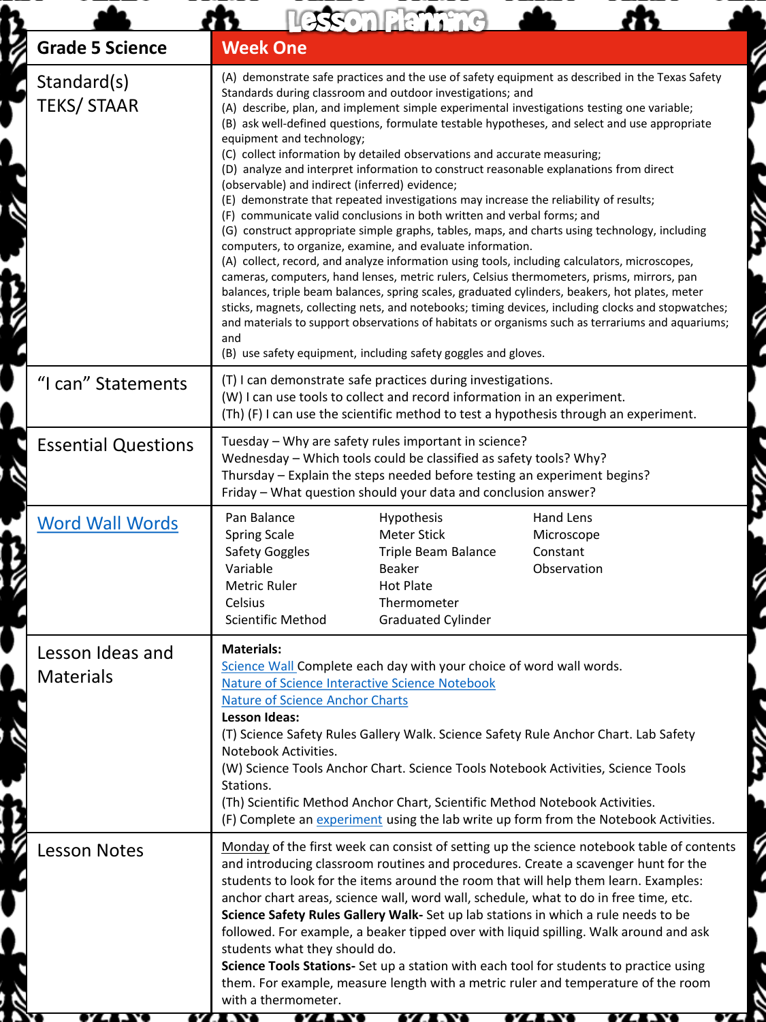|                                      | Lesson Planning                                                                                                                                                                                                                                                                                                                                                                                                                                                                                                                                                                                                                                                                                                                                                                                                                                                                                                                                                                                                                                                                                                                                                                                                                                                                                                                                                                                                                                                                                                                          |  |
|--------------------------------------|------------------------------------------------------------------------------------------------------------------------------------------------------------------------------------------------------------------------------------------------------------------------------------------------------------------------------------------------------------------------------------------------------------------------------------------------------------------------------------------------------------------------------------------------------------------------------------------------------------------------------------------------------------------------------------------------------------------------------------------------------------------------------------------------------------------------------------------------------------------------------------------------------------------------------------------------------------------------------------------------------------------------------------------------------------------------------------------------------------------------------------------------------------------------------------------------------------------------------------------------------------------------------------------------------------------------------------------------------------------------------------------------------------------------------------------------------------------------------------------------------------------------------------------|--|
| <b>Grade 5 Science</b>               | <b>Week One</b>                                                                                                                                                                                                                                                                                                                                                                                                                                                                                                                                                                                                                                                                                                                                                                                                                                                                                                                                                                                                                                                                                                                                                                                                                                                                                                                                                                                                                                                                                                                          |  |
| Standard(s)<br><b>TEKS/ STAAR</b>    | (A) demonstrate safe practices and the use of safety equipment as described in the Texas Safety<br>Standards during classroom and outdoor investigations; and<br>(A) describe, plan, and implement simple experimental investigations testing one variable;<br>(B) ask well-defined questions, formulate testable hypotheses, and select and use appropriate<br>equipment and technology;<br>(C) collect information by detailed observations and accurate measuring;<br>(D) analyze and interpret information to construct reasonable explanations from direct<br>(observable) and indirect (inferred) evidence;<br>(E) demonstrate that repeated investigations may increase the reliability of results;<br>(F) communicate valid conclusions in both written and verbal forms; and<br>(G) construct appropriate simple graphs, tables, maps, and charts using technology, including<br>computers, to organize, examine, and evaluate information.<br>(A) collect, record, and analyze information using tools, including calculators, microscopes,<br>cameras, computers, hand lenses, metric rulers, Celsius thermometers, prisms, mirrors, pan<br>balances, triple beam balances, spring scales, graduated cylinders, beakers, hot plates, meter<br>sticks, magnets, collecting nets, and notebooks; timing devices, including clocks and stopwatches;<br>and materials to support observations of habitats or organisms such as terrariums and aquariums;<br>and<br>(B) use safety equipment, including safety goggles and gloves. |  |
| "I can" Statements                   | (T) I can demonstrate safe practices during investigations.<br>(W) I can use tools to collect and record information in an experiment.<br>(Th) (F) I can use the scientific method to test a hypothesis through an experiment.                                                                                                                                                                                                                                                                                                                                                                                                                                                                                                                                                                                                                                                                                                                                                                                                                                                                                                                                                                                                                                                                                                                                                                                                                                                                                                           |  |
| <b>Essential Questions</b>           | Tuesday - Why are safety rules important in science?<br>Wednesday - Which tools could be classified as safety tools? Why?<br>Thursday - Explain the steps needed before testing an experiment begins?<br>Friday - What question should your data and conclusion answer?                                                                                                                                                                                                                                                                                                                                                                                                                                                                                                                                                                                                                                                                                                                                                                                                                                                                                                                                                                                                                                                                                                                                                                                                                                                                  |  |
| <b>Word Wall Words</b>               | Pan Balance<br>Hand Lens<br>Hypothesis<br><b>Meter Stick</b><br><b>Spring Scale</b><br>Microscope<br><b>Safety Goggles</b><br>Triple Beam Balance<br>Constant<br>Variable<br>Observation<br>Beaker<br><b>Metric Ruler</b><br><b>Hot Plate</b><br><b>Celsius</b><br>Thermometer<br>Scientific Method<br><b>Graduated Cylinder</b>                                                                                                                                                                                                                                                                                                                                                                                                                                                                                                                                                                                                                                                                                                                                                                                                                                                                                                                                                                                                                                                                                                                                                                                                         |  |
| Lesson Ideas and<br><b>Materials</b> | <b>Materials:</b><br>Science Wall Complete each day with your choice of word wall words.<br>Nature of Science Interactive Science Notebook<br><b>Nature of Science Anchor Charts</b><br><b>Lesson Ideas:</b><br>(T) Science Safety Rules Gallery Walk. Science Safety Rule Anchor Chart. Lab Safety<br>Notebook Activities.<br>(W) Science Tools Anchor Chart. Science Tools Notebook Activities, Science Tools<br>Stations.<br>(Th) Scientific Method Anchor Chart, Scientific Method Notebook Activities.<br>(F) Complete an experiment using the lab write up form from the Notebook Activities.                                                                                                                                                                                                                                                                                                                                                                                                                                                                                                                                                                                                                                                                                                                                                                                                                                                                                                                                      |  |
| <b>Lesson Notes</b>                  | Monday of the first week can consist of setting up the science notebook table of contents<br>and introducing classroom routines and procedures. Create a scavenger hunt for the<br>students to look for the items around the room that will help them learn. Examples:<br>anchor chart areas, science wall, word wall, schedule, what to do in free time, etc.<br>Science Safety Rules Gallery Walk- Set up lab stations in which a rule needs to be<br>followed. For example, a beaker tipped over with liquid spilling. Walk around and ask<br>students what they should do.<br>Science Tools Stations- Set up a station with each tool for students to practice using<br>them. For example, measure length with a metric ruler and temperature of the room<br>with a thermometer.<br>7. 433<br>ozany i<br><i><b>BLANS</b></i>                                                                                                                                                                                                                                                                                                                                                                                                                                                                                                                                                                                                                                                                                                         |  |

ŕ

t

 $\mathbf{k}$ 

į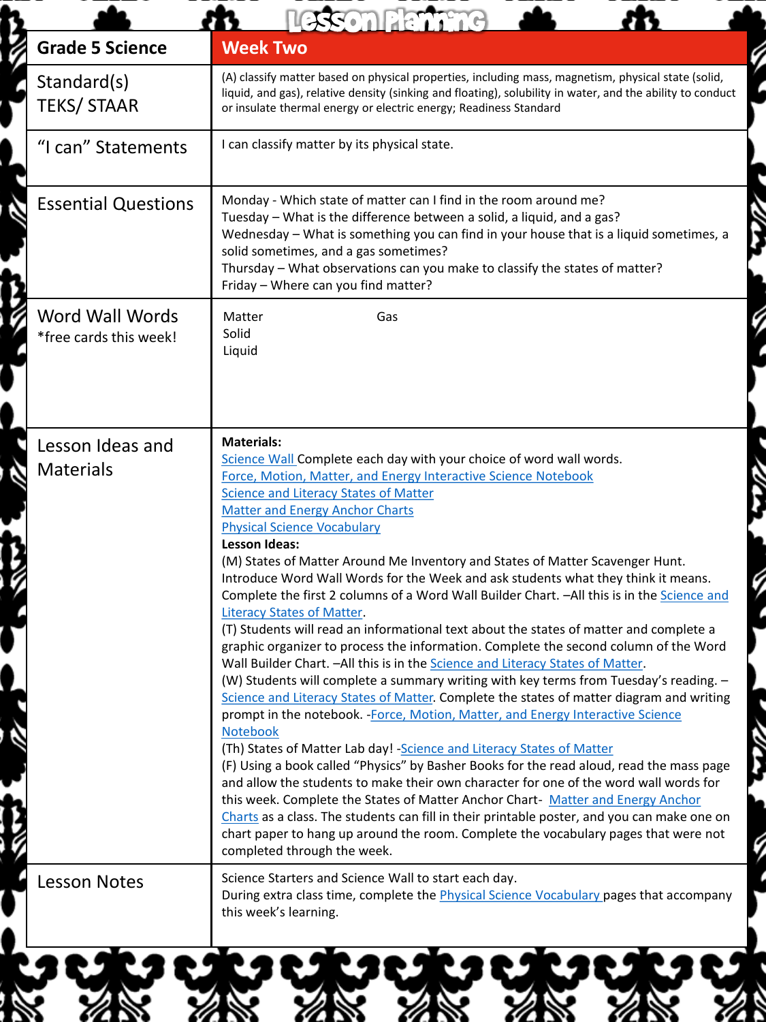|                                                  | esson Planning                                                                                                                                                                                                                                                                                                                                                                                                                                                                                                                                                                                                                                                                                                                                                                                                                                                                                                                                                                                                                                                                                                                                                                                                                                                                                                                                                                                                                                                                                                                                                                                                                                                                                                                                               |
|--------------------------------------------------|--------------------------------------------------------------------------------------------------------------------------------------------------------------------------------------------------------------------------------------------------------------------------------------------------------------------------------------------------------------------------------------------------------------------------------------------------------------------------------------------------------------------------------------------------------------------------------------------------------------------------------------------------------------------------------------------------------------------------------------------------------------------------------------------------------------------------------------------------------------------------------------------------------------------------------------------------------------------------------------------------------------------------------------------------------------------------------------------------------------------------------------------------------------------------------------------------------------------------------------------------------------------------------------------------------------------------------------------------------------------------------------------------------------------------------------------------------------------------------------------------------------------------------------------------------------------------------------------------------------------------------------------------------------------------------------------------------------------------------------------------------------|
| <b>Grade 5 Science</b>                           | <b>Week Two</b>                                                                                                                                                                                                                                                                                                                                                                                                                                                                                                                                                                                                                                                                                                                                                                                                                                                                                                                                                                                                                                                                                                                                                                                                                                                                                                                                                                                                                                                                                                                                                                                                                                                                                                                                              |
| Standard(s)<br><b>TEKS/STAAR</b>                 | (A) classify matter based on physical properties, including mass, magnetism, physical state (solid,<br>liquid, and gas), relative density (sinking and floating), solubility in water, and the ability to conduct<br>or insulate thermal energy or electric energy; Readiness Standard                                                                                                                                                                                                                                                                                                                                                                                                                                                                                                                                                                                                                                                                                                                                                                                                                                                                                                                                                                                                                                                                                                                                                                                                                                                                                                                                                                                                                                                                       |
| "I can" Statements                               | I can classify matter by its physical state.                                                                                                                                                                                                                                                                                                                                                                                                                                                                                                                                                                                                                                                                                                                                                                                                                                                                                                                                                                                                                                                                                                                                                                                                                                                                                                                                                                                                                                                                                                                                                                                                                                                                                                                 |
| <b>Essential Questions</b>                       | Monday - Which state of matter can I find in the room around me?<br>Tuesday - What is the difference between a solid, a liquid, and a gas?<br>Wednesday - What is something you can find in your house that is a liquid sometimes, a<br>solid sometimes, and a gas sometimes?<br>Thursday - What observations can you make to classify the states of matter?<br>Friday - Where can you find matter?                                                                                                                                                                                                                                                                                                                                                                                                                                                                                                                                                                                                                                                                                                                                                                                                                                                                                                                                                                                                                                                                                                                                                                                                                                                                                                                                                          |
| <b>Word Wall Words</b><br>*free cards this week! | Matter<br>Gas<br>Solid<br>Liquid                                                                                                                                                                                                                                                                                                                                                                                                                                                                                                                                                                                                                                                                                                                                                                                                                                                                                                                                                                                                                                                                                                                                                                                                                                                                                                                                                                                                                                                                                                                                                                                                                                                                                                                             |
| Lesson Ideas and<br><b>Materials</b>             | <b>Materials:</b><br>Science Wall Complete each day with your choice of word wall words.<br>Force, Motion, Matter, and Energy Interactive Science Notebook<br><b>Science and Literacy States of Matter</b><br><b>Matter and Energy Anchor Charts</b><br><b>Physical Science Vocabulary</b><br><b>Lesson Ideas:</b><br>(M) States of Matter Around Me Inventory and States of Matter Scavenger Hunt.<br>Introduce Word Wall Words for the Week and ask students what they think it means.<br>Complete the first 2 columns of a Word Wall Builder Chart. - All this is in the Science and<br><b>Literacy States of Matter.</b><br>(T) Students will read an informational text about the states of matter and complete a<br>graphic organizer to process the information. Complete the second column of the Word<br>Wall Builder Chart. - All this is in the Science and Literacy States of Matter.<br>(W) Students will complete a summary writing with key terms from Tuesday's reading. -<br>Science and Literacy States of Matter. Complete the states of matter diagram and writing<br>prompt in the notebook. - Force, Motion, Matter, and Energy Interactive Science<br>Notebook<br>(Th) States of Matter Lab day! - Science and Literacy States of Matter<br>(F) Using a book called "Physics" by Basher Books for the read aloud, read the mass page<br>and allow the students to make their own character for one of the word wall words for<br>this week. Complete the States of Matter Anchor Chart- Matter and Energy Anchor<br>Charts as a class. The students can fill in their printable poster, and you can make one on<br>chart paper to hang up around the room. Complete the vocabulary pages that were not<br>completed through the week. |
| <b>Lesson Notes</b>                              | Science Starters and Science Wall to start each day.<br>During extra class time, complete the <i>Physical Science Vocabulary</i> pages that accompany<br>this week's learning.                                                                                                                                                                                                                                                                                                                                                                                                                                                                                                                                                                                                                                                                                                                                                                                                                                                                                                                                                                                                                                                                                                                                                                                                                                                                                                                                                                                                                                                                                                                                                                               |
|                                                  |                                                                                                                                                                                                                                                                                                                                                                                                                                                                                                                                                                                                                                                                                                                                                                                                                                                                                                                                                                                                                                                                                                                                                                                                                                                                                                                                                                                                                                                                                                                                                                                                                                                                                                                                                              |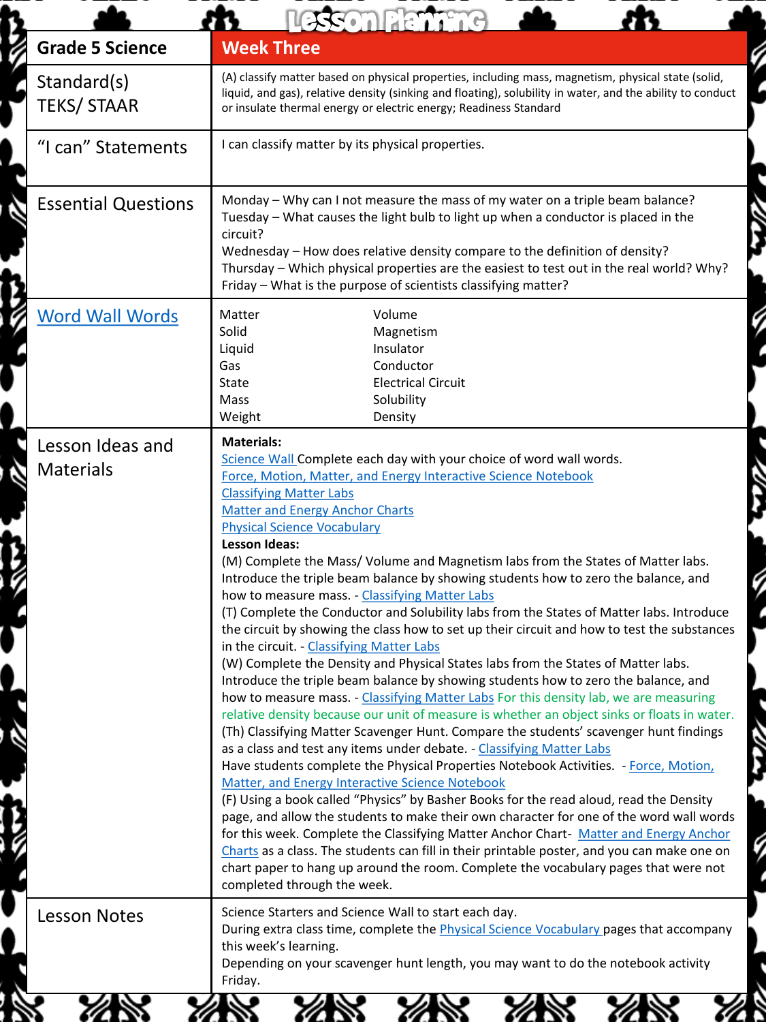|                                      | esson Planning                                                                                                                                                                                                                                                                                                                                                                                                                                                                                                                                                                                                                                                                                                                                                                                                                                                                                                                                                                                                                                                                                                                                                                                                                                                                                                                                                                                                                                                                                                                                                                                                                                                                                                                                                                                                                                                                                                                                             |
|--------------------------------------|------------------------------------------------------------------------------------------------------------------------------------------------------------------------------------------------------------------------------------------------------------------------------------------------------------------------------------------------------------------------------------------------------------------------------------------------------------------------------------------------------------------------------------------------------------------------------------------------------------------------------------------------------------------------------------------------------------------------------------------------------------------------------------------------------------------------------------------------------------------------------------------------------------------------------------------------------------------------------------------------------------------------------------------------------------------------------------------------------------------------------------------------------------------------------------------------------------------------------------------------------------------------------------------------------------------------------------------------------------------------------------------------------------------------------------------------------------------------------------------------------------------------------------------------------------------------------------------------------------------------------------------------------------------------------------------------------------------------------------------------------------------------------------------------------------------------------------------------------------------------------------------------------------------------------------------------------------|
| <b>Grade 5 Science</b>               | <b>Week Three</b>                                                                                                                                                                                                                                                                                                                                                                                                                                                                                                                                                                                                                                                                                                                                                                                                                                                                                                                                                                                                                                                                                                                                                                                                                                                                                                                                                                                                                                                                                                                                                                                                                                                                                                                                                                                                                                                                                                                                          |
| Standard(s)<br><b>TEKS/STAAR</b>     | (A) classify matter based on physical properties, including mass, magnetism, physical state (solid,<br>liquid, and gas), relative density (sinking and floating), solubility in water, and the ability to conduct<br>or insulate thermal energy or electric energy; Readiness Standard                                                                                                                                                                                                                                                                                                                                                                                                                                                                                                                                                                                                                                                                                                                                                                                                                                                                                                                                                                                                                                                                                                                                                                                                                                                                                                                                                                                                                                                                                                                                                                                                                                                                     |
| "I can" Statements                   | I can classify matter by its physical properties.                                                                                                                                                                                                                                                                                                                                                                                                                                                                                                                                                                                                                                                                                                                                                                                                                                                                                                                                                                                                                                                                                                                                                                                                                                                                                                                                                                                                                                                                                                                                                                                                                                                                                                                                                                                                                                                                                                          |
| <b>Essential Questions</b>           | Monday - Why can I not measure the mass of my water on a triple beam balance?<br>Tuesday - What causes the light bulb to light up when a conductor is placed in the<br>circuit?<br>Wednesday - How does relative density compare to the definition of density?<br>Thursday - Which physical properties are the easiest to test out in the real world? Why?<br>Friday - What is the purpose of scientists classifying matter?                                                                                                                                                                                                                                                                                                                                                                                                                                                                                                                                                                                                                                                                                                                                                                                                                                                                                                                                                                                                                                                                                                                                                                                                                                                                                                                                                                                                                                                                                                                               |
| <b>Word Wall Words</b>               | Matter<br>Volume<br>Solid<br>Magnetism<br>Liquid<br>Insulator<br>Conductor<br>Gas<br>State<br><b>Electrical Circuit</b><br>Solubility<br>Mass<br>Weight<br>Density                                                                                                                                                                                                                                                                                                                                                                                                                                                                                                                                                                                                                                                                                                                                                                                                                                                                                                                                                                                                                                                                                                                                                                                                                                                                                                                                                                                                                                                                                                                                                                                                                                                                                                                                                                                         |
| Lesson Ideas and<br><b>Materials</b> | <b>Materials:</b><br>Science Wall Complete each day with your choice of word wall words.<br>Force, Motion, Matter, and Energy Interactive Science Notebook<br><b>Classifying Matter Labs</b><br><b>Matter and Energy Anchor Charts</b><br><b>Physical Science Vocabulary</b><br><b>Lesson Ideas:</b><br>(M) Complete the Mass/Volume and Magnetism labs from the States of Matter labs.<br>Introduce the triple beam balance by showing students how to zero the balance, and<br>how to measure mass. - Classifying Matter Labs<br>(T) Complete the Conductor and Solubility labs from the States of Matter labs. Introduce<br>the circuit by showing the class how to set up their circuit and how to test the substances<br>in the circuit. - Classifying Matter Labs<br>(W) Complete the Density and Physical States labs from the States of Matter labs.<br>Introduce the triple beam balance by showing students how to zero the balance, and<br>how to measure mass. - Classifying Matter Labs For this density lab, we are measuring<br>relative density because our unit of measure is whether an object sinks or floats in water.<br>(Th) Classifying Matter Scavenger Hunt. Compare the students' scavenger hunt findings<br>as a class and test any items under debate. - Classifying Matter Labs<br>Have students complete the Physical Properties Notebook Activities. - Force, Motion,<br>Matter, and Energy Interactive Science Notebook<br>(F) Using a book called "Physics" by Basher Books for the read aloud, read the Density<br>page, and allow the students to make their own character for one of the word wall words<br>for this week. Complete the Classifying Matter Anchor Chart- Matter and Energy Anchor<br>Charts as a class. The students can fill in their printable poster, and you can make one on<br>chart paper to hang up around the room. Complete the vocabulary pages that were not<br>completed through the week. |
| <b>Lesson Notes</b>                  | Science Starters and Science Wall to start each day.<br>During extra class time, complete the <i>Physical Science Vocabulary</i> pages that accompany<br>this week's learning.<br>Depending on your scavenger hunt length, you may want to do the notebook activity<br>Friday.                                                                                                                                                                                                                                                                                                                                                                                                                                                                                                                                                                                                                                                                                                                                                                                                                                                                                                                                                                                                                                                                                                                                                                                                                                                                                                                                                                                                                                                                                                                                                                                                                                                                             |
|                                      |                                                                                                                                                                                                                                                                                                                                                                                                                                                                                                                                                                                                                                                                                                                                                                                                                                                                                                                                                                                                                                                                                                                                                                                                                                                                                                                                                                                                                                                                                                                                                                                                                                                                                                                                                                                                                                                                                                                                                            |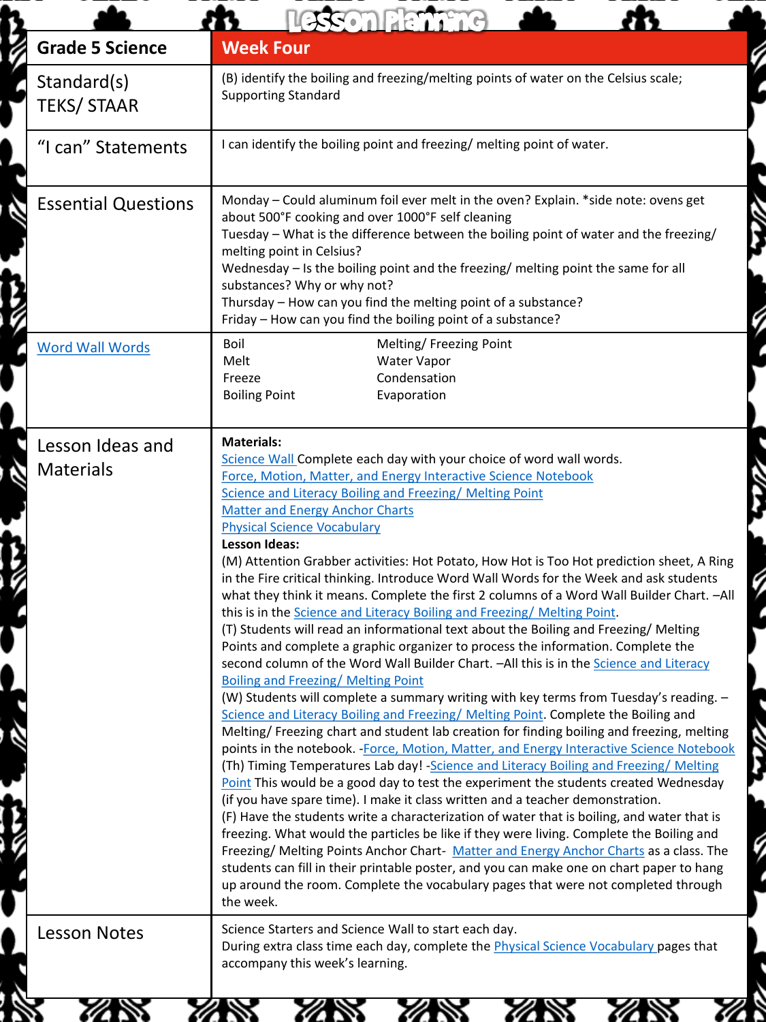|                                      | esson Planning                                                                                                                                                                                                                                                                                                                                                                                                                                                                                                                                                                                                                                                                                                                                                                                                                                                                                                                                                                                                                                                                                                                                                                                                                                                                                                                                                                                                                                                                                                                                                                                                                                                                                                                                                                                                                                                                                                                                                                                                                                                                                                                             |
|--------------------------------------|--------------------------------------------------------------------------------------------------------------------------------------------------------------------------------------------------------------------------------------------------------------------------------------------------------------------------------------------------------------------------------------------------------------------------------------------------------------------------------------------------------------------------------------------------------------------------------------------------------------------------------------------------------------------------------------------------------------------------------------------------------------------------------------------------------------------------------------------------------------------------------------------------------------------------------------------------------------------------------------------------------------------------------------------------------------------------------------------------------------------------------------------------------------------------------------------------------------------------------------------------------------------------------------------------------------------------------------------------------------------------------------------------------------------------------------------------------------------------------------------------------------------------------------------------------------------------------------------------------------------------------------------------------------------------------------------------------------------------------------------------------------------------------------------------------------------------------------------------------------------------------------------------------------------------------------------------------------------------------------------------------------------------------------------------------------------------------------------------------------------------------------------|
| <b>Grade 5 Science</b>               | <b>Week Four</b>                                                                                                                                                                                                                                                                                                                                                                                                                                                                                                                                                                                                                                                                                                                                                                                                                                                                                                                                                                                                                                                                                                                                                                                                                                                                                                                                                                                                                                                                                                                                                                                                                                                                                                                                                                                                                                                                                                                                                                                                                                                                                                                           |
| Standard(s)<br><b>TEKS/STAAR</b>     | (B) identify the boiling and freezing/melting points of water on the Celsius scale;<br><b>Supporting Standard</b>                                                                                                                                                                                                                                                                                                                                                                                                                                                                                                                                                                                                                                                                                                                                                                                                                                                                                                                                                                                                                                                                                                                                                                                                                                                                                                                                                                                                                                                                                                                                                                                                                                                                                                                                                                                                                                                                                                                                                                                                                          |
| "I can" Statements                   | I can identify the boiling point and freezing/ melting point of water.                                                                                                                                                                                                                                                                                                                                                                                                                                                                                                                                                                                                                                                                                                                                                                                                                                                                                                                                                                                                                                                                                                                                                                                                                                                                                                                                                                                                                                                                                                                                                                                                                                                                                                                                                                                                                                                                                                                                                                                                                                                                     |
| <b>Essential Questions</b>           | Monday - Could aluminum foil ever melt in the oven? Explain. *side note: ovens get<br>about 500°F cooking and over 1000°F self cleaning<br>Tuesday - What is the difference between the boiling point of water and the freezing/<br>melting point in Celsius?<br>Wednesday - Is the boiling point and the freezing/ melting point the same for all<br>substances? Why or why not?<br>Thursday - How can you find the melting point of a substance?<br>Friday - How can you find the boiling point of a substance?                                                                                                                                                                                                                                                                                                                                                                                                                                                                                                                                                                                                                                                                                                                                                                                                                                                                                                                                                                                                                                                                                                                                                                                                                                                                                                                                                                                                                                                                                                                                                                                                                          |
| <b>Word Wall Words</b>               | Boil<br>Melting/ Freezing Point<br>Melt<br>Water Vapor<br>Condensation<br>Freeze<br><b>Boiling Point</b><br>Evaporation                                                                                                                                                                                                                                                                                                                                                                                                                                                                                                                                                                                                                                                                                                                                                                                                                                                                                                                                                                                                                                                                                                                                                                                                                                                                                                                                                                                                                                                                                                                                                                                                                                                                                                                                                                                                                                                                                                                                                                                                                    |
| Lesson Ideas and<br><b>Materials</b> | <b>Materials:</b><br>Science Wall Complete each day with your choice of word wall words.<br>Force, Motion, Matter, and Energy Interactive Science Notebook<br>Science and Literacy Boiling and Freezing/Melting Point<br><b>Matter and Energy Anchor Charts</b><br><b>Physical Science Vocabulary</b><br>Lesson Ideas:<br>(M) Attention Grabber activities: Hot Potato, How Hot is Too Hot prediction sheet, A Ring<br>in the Fire critical thinking. Introduce Word Wall Words for the Week and ask students<br>what they think it means. Complete the first 2 columns of a Word Wall Builder Chart. - All<br>this is in the Science and Literacy Boiling and Freezing/Melting Point.<br>(T) Students will read an informational text about the Boiling and Freezing/ Melting<br>Points and complete a graphic organizer to process the information. Complete the<br>second column of the Word Wall Builder Chart. - All this is in the Science and Literacy<br><b>Boiling and Freezing/ Melting Point</b><br>(W) Students will complete a summary writing with key terms from Tuesday's reading. -<br>Science and Literacy Boiling and Freezing/ Melting Point. Complete the Boiling and<br>Melting/ Freezing chart and student lab creation for finding boiling and freezing, melting<br>points in the notebook. - Force, Motion, Matter, and Energy Interactive Science Notebook<br>(Th) Timing Temperatures Lab day! - Science and Literacy Boiling and Freezing/ Melting<br>Point This would be a good day to test the experiment the students created Wednesday<br>(if you have spare time). I make it class written and a teacher demonstration.<br>(F) Have the students write a characterization of water that is boiling, and water that is<br>freezing. What would the particles be like if they were living. Complete the Boiling and<br>Freezing/ Melting Points Anchor Chart- Matter and Energy Anchor Charts as a class. The<br>students can fill in their printable poster, and you can make one on chart paper to hang<br>up around the room. Complete the vocabulary pages that were not completed through<br>the week. |
| <b>Lesson Notes</b>                  | Science Starters and Science Wall to start each day.<br>During extra class time each day, complete the Physical Science Vocabulary pages that<br>accompany this week's learning.                                                                                                                                                                                                                                                                                                                                                                                                                                                                                                                                                                                                                                                                                                                                                                                                                                                                                                                                                                                                                                                                                                                                                                                                                                                                                                                                                                                                                                                                                                                                                                                                                                                                                                                                                                                                                                                                                                                                                           |

Ú

S

G

Į

G

į G